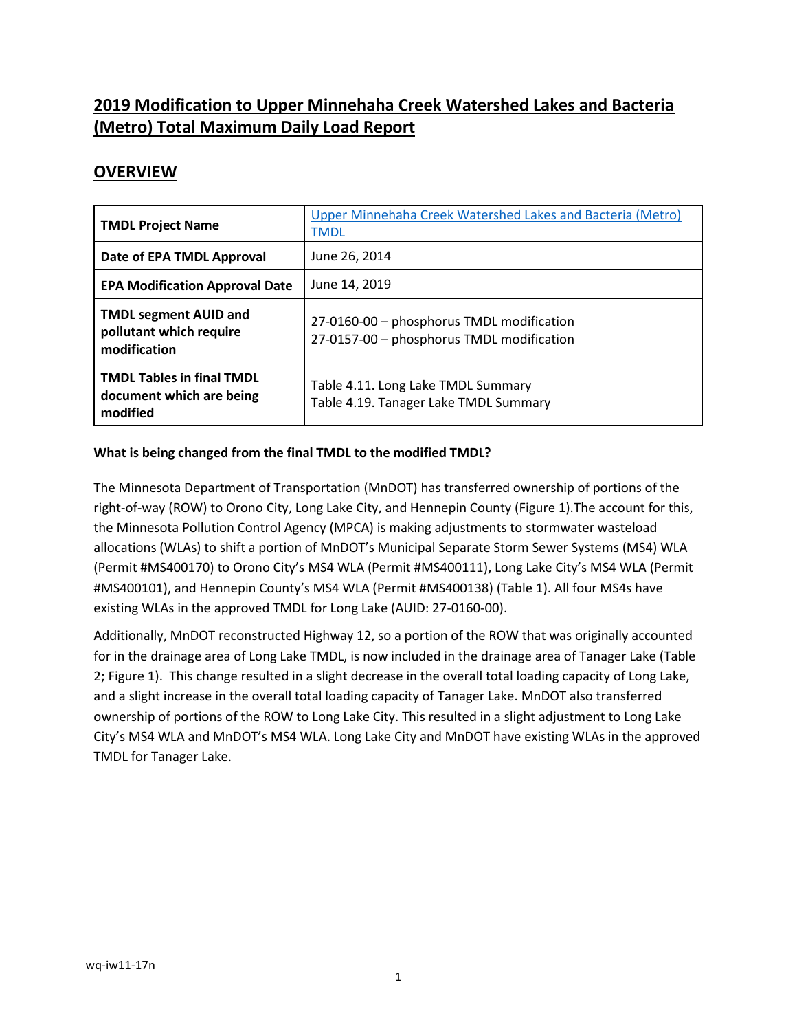# **2019 Modification to Upper Minnehaha Creek Watershed Lakes and Bacteria (Metro) Total Maximum Daily Load Report**

## **OVERVIEW**

| <b>TMDL Project Name</b>                                                 | Upper Minnehaha Creek Watershed Lakes and Bacteria (Metro)<br><b>TMDL</b>              |
|--------------------------------------------------------------------------|----------------------------------------------------------------------------------------|
| Date of EPA TMDL Approval                                                | June 26, 2014                                                                          |
| <b>EPA Modification Approval Date</b>                                    | June 14, 2019                                                                          |
| <b>TMDL segment AUID and</b><br>pollutant which require<br>modification  | 27-0160-00 - phosphorus TMDL modification<br>27-0157-00 - phosphorus TMDL modification |
| <b>TMDL Tables in final TMDL</b><br>document which are being<br>modified | Table 4.11. Long Lake TMDL Summary<br>Table 4.19. Tanager Lake TMDL Summary            |

### **What is being changed from the final TMDL to the modified TMDL?**

The Minnesota Department of Transportation (MnDOT) has transferred ownership of portions of the right-of-way (ROW) to Orono City, Long Lake City, and Hennepin County (Figure 1).The account for this, the Minnesota Pollution Control Agency (MPCA) is making adjustments to stormwater wasteload allocations (WLAs) to shift a portion of MnDOT's Municipal Separate Storm Sewer Systems (MS4) WLA (Permit #MS400170) to Orono City's MS4 WLA (Permit #MS400111), Long Lake City's MS4 WLA (Permit #MS400101), and Hennepin County's MS4 WLA (Permit #MS400138) (Table 1). All four MS4s have existing WLAs in the approved TMDL for Long Lake (AUID: 27-0160-00).

Additionally, MnDOT reconstructed Highway 12, so a portion of the ROW that was originally accounted for in the drainage area of Long Lake TMDL, is now included in the drainage area of Tanager Lake (Table 2; Figure 1). This change resulted in a slight decrease in the overall total loading capacity of Long Lake, and a slight increase in the overall total loading capacity of Tanager Lake. MnDOT also transferred ownership of portions of the ROW to Long Lake City. This resulted in a slight adjustment to Long Lake City's MS4 WLA and MnDOT's MS4 WLA. Long Lake City and MnDOT have existing WLAs in the approved TMDL for Tanager Lake.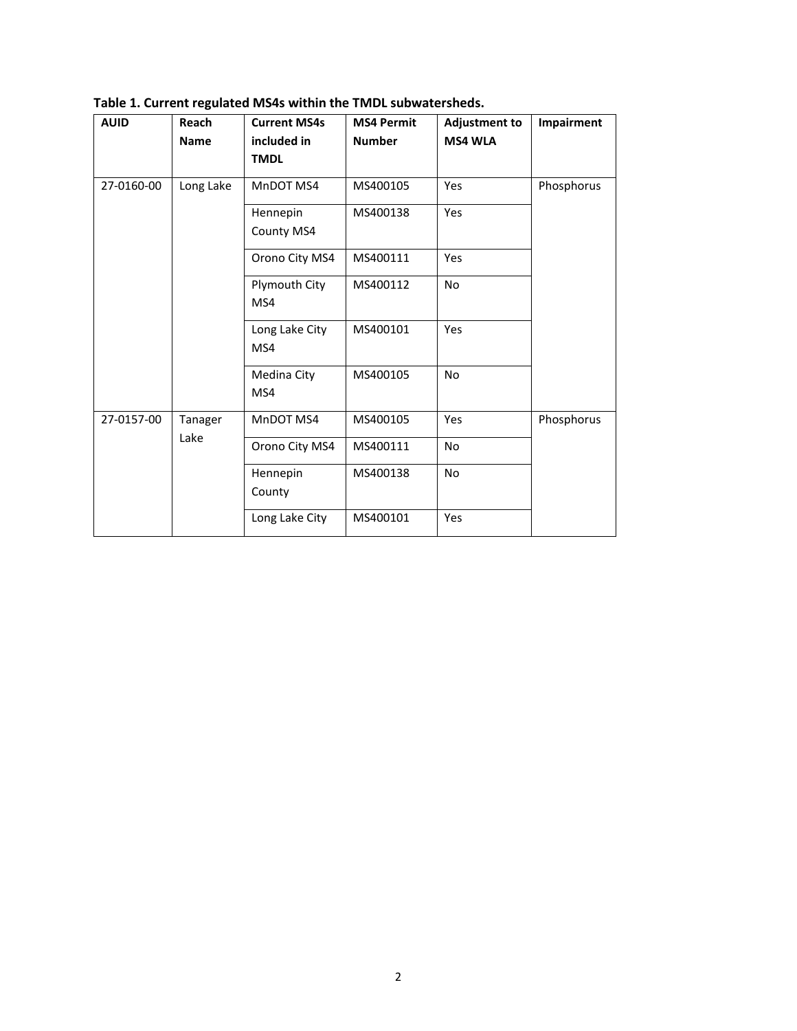| <b>AUID</b> | Reach<br><b>Name</b> | <b>Current MS4s</b><br>included in | <b>MS4 Permit</b><br><b>Number</b> | <b>Adjustment to</b><br><b>MS4 WLA</b> | Impairment |
|-------------|----------------------|------------------------------------|------------------------------------|----------------------------------------|------------|
|             |                      | <b>TMDL</b>                        |                                    |                                        |            |
| 27-0160-00  | Long Lake            | MnDOT MS4                          | MS400105                           | Yes                                    | Phosphorus |
|             |                      | Hennepin                           | MS400138                           | Yes                                    |            |
|             |                      | County MS4                         |                                    |                                        |            |
|             |                      | Orono City MS4                     | MS400111                           | Yes                                    |            |
|             |                      | Plymouth City                      | MS400112                           | <b>No</b>                              |            |
|             |                      | MS4                                |                                    |                                        |            |
|             |                      | Long Lake City                     | MS400101                           | Yes                                    |            |
|             |                      | MS4                                |                                    |                                        |            |
|             |                      | Medina City                        | MS400105                           | <b>No</b>                              |            |
|             |                      | MS4                                |                                    |                                        |            |
| 27-0157-00  | Tanager<br>Lake      | MnDOT MS4                          | MS400105                           | Yes                                    | Phosphorus |
|             |                      | Orono City MS4                     | MS400111                           | <b>No</b>                              |            |
|             |                      | Hennepin                           | MS400138                           | <b>No</b>                              |            |
|             |                      | County                             |                                    |                                        |            |
|             |                      | Long Lake City                     | MS400101                           | Yes                                    |            |

**Table 1. Current regulated MS4s within the TMDL subwatersheds.**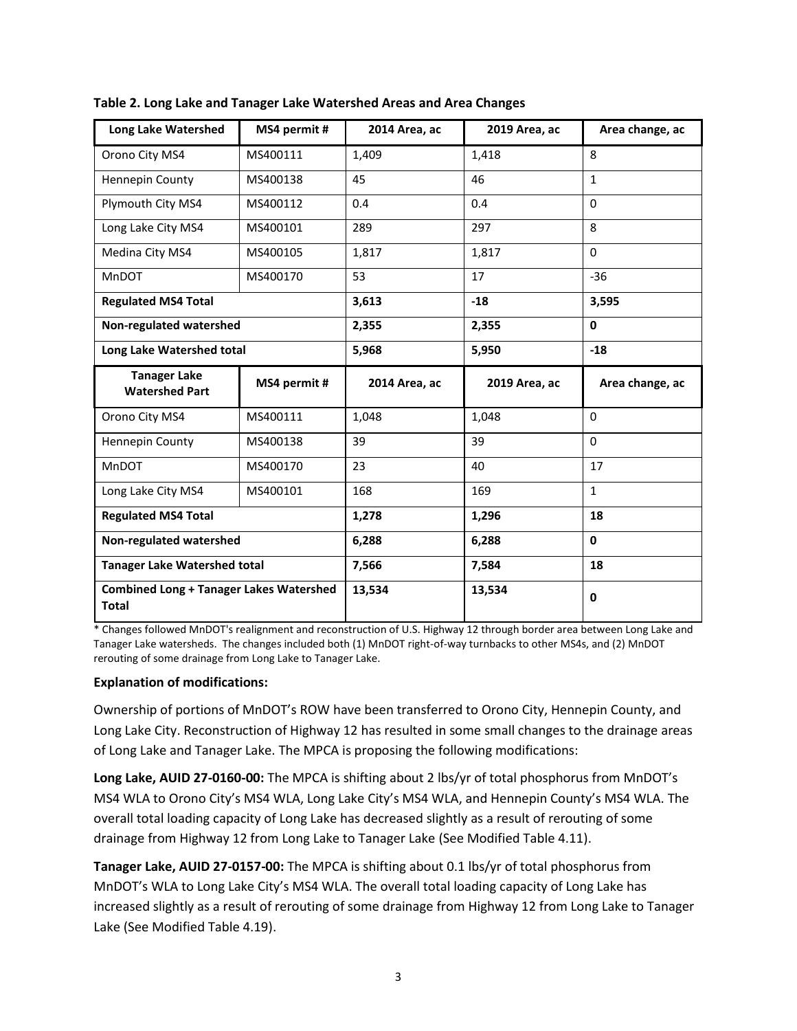| <b>Long Lake Watershed</b>                   | MS4 permit #              | 2014 Area, ac  | 2019 Area, ac | Area change, ac |  |
|----------------------------------------------|---------------------------|----------------|---------------|-----------------|--|
| Orono City MS4                               | MS400111                  | 1,409          | 1,418         | 8               |  |
| <b>Hennepin County</b>                       | MS400138                  | 45             | 46            | $\mathbf{1}$    |  |
| Plymouth City MS4                            | MS400112                  | 0.4            | 0.4           | $\Omega$        |  |
| Long Lake City MS4                           | MS400101                  | 289            | 297           | 8               |  |
| Medina City MS4                              | MS400105                  | 1,817          | 1,817         | $\Omega$        |  |
| <b>MnDOT</b>                                 | MS400170                  | 53             | 17            | $-36$           |  |
| <b>Regulated MS4 Total</b>                   |                           | 3,613          | $-18$         | 3,595           |  |
| Non-regulated watershed                      |                           | 2,355<br>2,355 |               | $\mathbf{0}$    |  |
|                                              | Long Lake Watershed total |                | 5,950         | $-18$           |  |
| <b>Tanager Lake</b><br><b>Watershed Part</b> | MS4 permit #              | 2014 Area, ac  | 2019 Area, ac | Area change, ac |  |
|                                              |                           |                |               |                 |  |
| Orono City MS4                               | MS400111                  | 1,048          | 1,048         | $\Omega$        |  |
| <b>Hennepin County</b>                       | MS400138                  | 39             | 39            | $\Omega$        |  |
| MnDOT                                        | MS400170                  | 23             | 40            | 17              |  |
| Long Lake City MS4                           | MS400101                  | 168            | 169           | $\mathbf{1}$    |  |
| <b>Regulated MS4 Total</b>                   |                           | 1,278          | 1,296         | 18              |  |
| Non-regulated watershed                      |                           | 6,288          | 6,288         | $\mathbf{0}$    |  |
| <b>Tanager Lake Watershed total</b>          |                           | 7,566          | 7,584         | 18              |  |

**Table 2. Long Lake and Tanager Lake Watershed Areas and Area Changes**

\* Changes followed MnDOT's realignment and reconstruction of U.S. Highway 12 through border area between Long Lake and Tanager Lake watersheds. The changes included both (1) MnDOT right-of-way turnbacks to other MS4s, and (2) MnDOT rerouting of some drainage from Long Lake to Tanager Lake.

### **Explanation of modifications:**

Ownership of portions of MnDOT's ROW have been transferred to Orono City, Hennepin County, and Long Lake City. Reconstruction of Highway 12 has resulted in some small changes to the drainage areas of Long Lake and Tanager Lake. The MPCA is proposing the following modifications:

**Long Lake, AUID 27-0160-00:** The MPCA is shifting about 2 lbs/yr of total phosphorus from MnDOT's MS4 WLA to Orono City's MS4 WLA, Long Lake City's MS4 WLA, and Hennepin County's MS4 WLA. The overall total loading capacity of Long Lake has decreased slightly as a result of rerouting of some drainage from Highway 12 from Long Lake to Tanager Lake (See Modified Table 4.11).

**Tanager Lake, AUID 27-0157-00:** The MPCA is shifting about 0.1 lbs/yr of total phosphorus from MnDOT's WLA to Long Lake City's MS4 WLA. The overall total loading capacity of Long Lake has increased slightly as a result of rerouting of some drainage from Highway 12 from Long Lake to Tanager Lake (See Modified Table 4.19).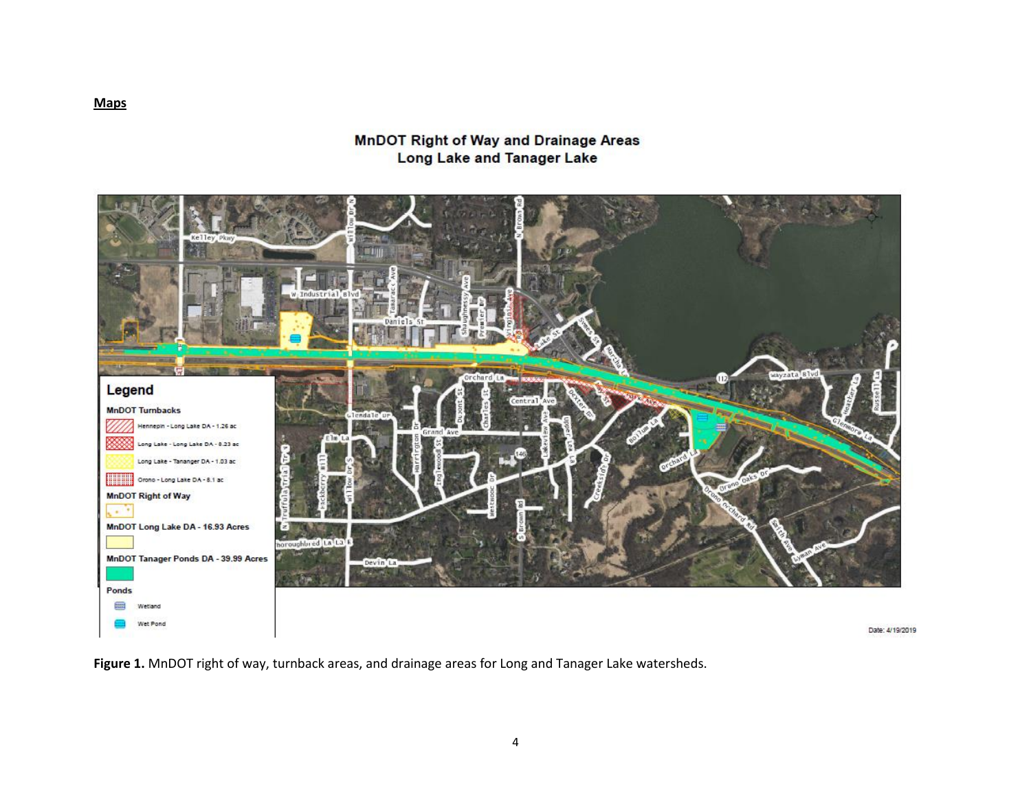### **MnDOT Right of Way and Drainage Areas Long Lake and Tanager Lake**



**Figure 1.** MnDOT right of way, turnback areas, and drainage areas for Long and Tanager Lake watersheds.

**Maps**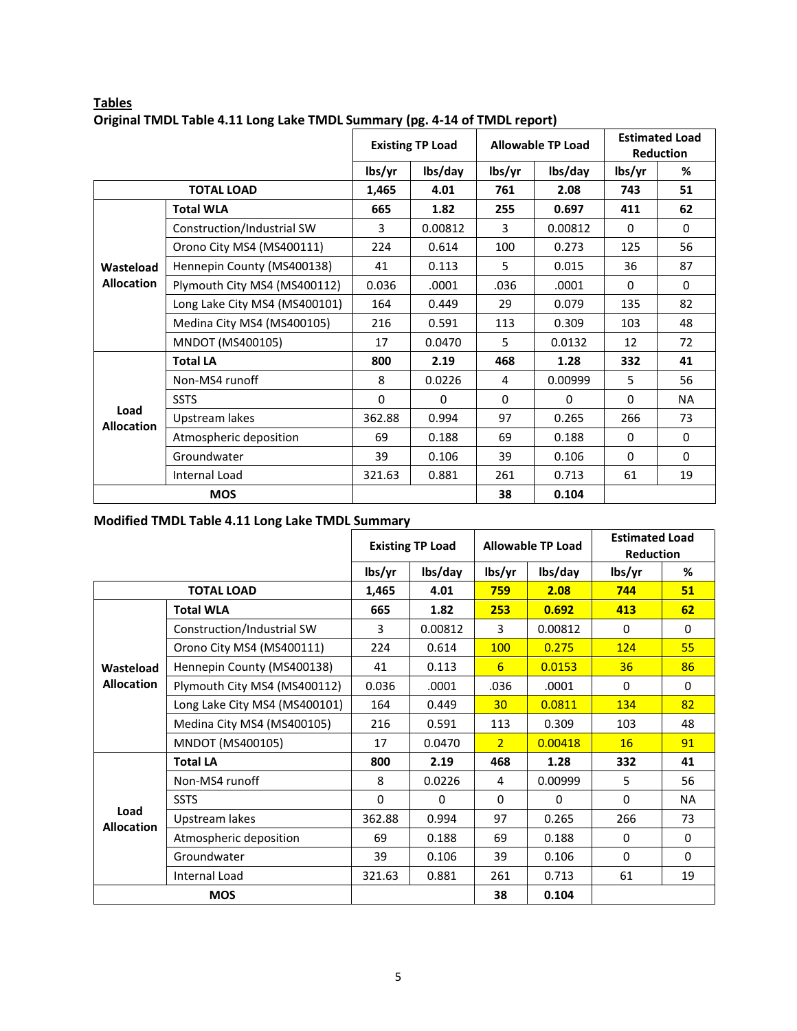|                           |                               | <b>Existing TP Load</b> |              | <b>Allowable TP Load</b> |          | <b>Estimated Load</b><br><b>Reduction</b>             |           |
|---------------------------|-------------------------------|-------------------------|--------------|--------------------------|----------|-------------------------------------------------------|-----------|
|                           |                               | lbs/yr                  | lbs/day      | lbs/yr                   | lbs/day  | lbs/yr                                                | %         |
|                           | <b>TOTAL LOAD</b>             | 1,465                   | 4.01         | 761                      | 2.08     | 743                                                   | 51        |
|                           | <b>Total WLA</b>              | 665                     | 1.82         | 255                      | 0.697    | 411                                                   | 62        |
|                           | Construction/Industrial SW    | 3                       | 0.00812      | 3                        | 0.00812  | $\mathbf{0}$                                          | $\Omega$  |
|                           | Orono City MS4 (MS400111)     | 224                     | 0.614        | 100                      | 0.273    | 125                                                   | 56        |
| Wasteload                 | Hennepin County (MS400138)    | 41                      | 0.113        | 5                        | 0.015    | 36                                                    | 87        |
| <b>Allocation</b>         | Plymouth City MS4 (MS400112)  | 0.036                   | .0001        | .036                     | .0001    | $\mathbf 0$                                           | $\Omega$  |
|                           | Long Lake City MS4 (MS400101) | 164                     | 0.449        | 29                       | 0.079    | 135                                                   | 82        |
|                           | Medina City MS4 (MS400105)    | 216                     | 0.591        | 113                      | 0.309    | 103                                                   | 48        |
|                           | MNDOT (MS400105)              | 17                      | 0.0470       | 5                        | 0.0132   | 12<br>332<br>5<br>0<br>266<br>$\mathbf{0}$<br>0<br>61 | 72        |
|                           | <b>Total LA</b>               | 800                     | 2.19         | 468                      | 1.28     |                                                       | 41        |
|                           | Non-MS4 runoff                | 8                       | 0.0226       | 4                        | 0.00999  |                                                       | 56        |
|                           | <b>SSTS</b>                   | $\mathbf 0$             | $\mathbf{0}$ | $\Omega$                 | $\Omega$ |                                                       | <b>NA</b> |
| Load<br><b>Allocation</b> | Upstream lakes                | 362.88                  | 0.994        | 97                       | 0.265    |                                                       | 73        |
|                           | Atmospheric deposition        | 69                      | 0.188        | 69                       | 0.188    |                                                       | $\Omega$  |
|                           | Groundwater                   | 39                      | 0.106        | 39                       | 0.106    |                                                       | $\Omega$  |
|                           | Internal Load                 | 321.63                  | 0.881        | 261                      | 0.713    |                                                       | 19        |
|                           | <b>MOS</b>                    |                         |              | 38                       | 0.104    |                                                       |           |

### **Tables Original TMDL Table 4.11 Long Lake TMDL Summary (pg. 4-14 of TMDL report)**

### **Modified TMDL Table 4.11 Long Lake TMDL Summary**

|                           |                               | <b>Existing TP Load</b> |              | <b>Allowable TP Load</b> |                                                                                                                                  | <b>Estimated Load</b><br><b>Reduction</b> |             |
|---------------------------|-------------------------------|-------------------------|--------------|--------------------------|----------------------------------------------------------------------------------------------------------------------------------|-------------------------------------------|-------------|
|                           |                               | lbs/yr                  | lbs/day      | lbs/yr                   | lbs/day                                                                                                                          | lbs/yr                                    | %           |
|                           | <b>TOTAL LOAD</b>             | 1,465                   | 4.01         | 759                      | 2.08                                                                                                                             | 744                                       | 51          |
|                           | <b>Total WLA</b>              | 665                     | 1.82         | 253                      | 0.692                                                                                                                            | 413                                       | 62          |
|                           | Construction/Industrial SW    | 3                       | 0.00812      | 3                        | 0.00812                                                                                                                          | $\mathbf{0}$                              | 0           |
|                           | Orono City MS4 (MS400111)     | 224                     | 0.614        | <b>100</b>               | 0.275                                                                                                                            | 124                                       | 55          |
| Wasteload                 | Hennepin County (MS400138)    | 41                      | 0.113        | 6                        | 0.0153                                                                                                                           | 36                                        | 86          |
| <b>Allocation</b>         | Plymouth City MS4 (MS400112)  | 0.036                   | .0001        | .036                     | .0001                                                                                                                            | $\Omega$                                  | $\Omega$    |
|                           | Long Lake City MS4 (MS400101) | 164                     | 0.449        | 30 <sup>°</sup>          | 0.0811                                                                                                                           | 134                                       | 82          |
|                           | Medina City MS4 (MS400105)    | 216                     | 0.591        | 113                      | 0.309                                                                                                                            | 103                                       | 48          |
|                           | MNDOT (MS400105)              | 17                      | 0.0470       | $\overline{2}$           | 0.00418<br>16<br>1.28<br>332<br>0.00999<br>5<br>$\mathbf 0$<br>$\mathbf{0}$<br>0.265<br>266<br>0.188<br>$\mathbf{0}$<br>$\Omega$ | 91                                        |             |
|                           | <b>Total LA</b>               | 800                     | 2.19         | 468                      |                                                                                                                                  |                                           | 41          |
|                           | Non-MS4 runoff                | 8                       | 0.0226       | 4                        |                                                                                                                                  |                                           | 56          |
|                           | <b>SSTS</b>                   | $\mathbf 0$             | $\mathbf{0}$ | $\Omega$                 |                                                                                                                                  |                                           | NA          |
| Load<br><b>Allocation</b> | Upstream lakes                | 362.88                  | 0.994        | 97                       |                                                                                                                                  |                                           | 73          |
|                           | Atmospheric deposition        | 69                      | 0.188        | 69                       |                                                                                                                                  |                                           | 0           |
|                           | Groundwater                   | 39                      | 0.106        | 39                       | 0.106                                                                                                                            |                                           | $\mathbf 0$ |
|                           | Internal Load                 | 321.63                  | 0.881        | 261                      | 0.713                                                                                                                            | 61                                        | 19          |
|                           | <b>MOS</b>                    |                         |              | 38                       | 0.104                                                                                                                            |                                           |             |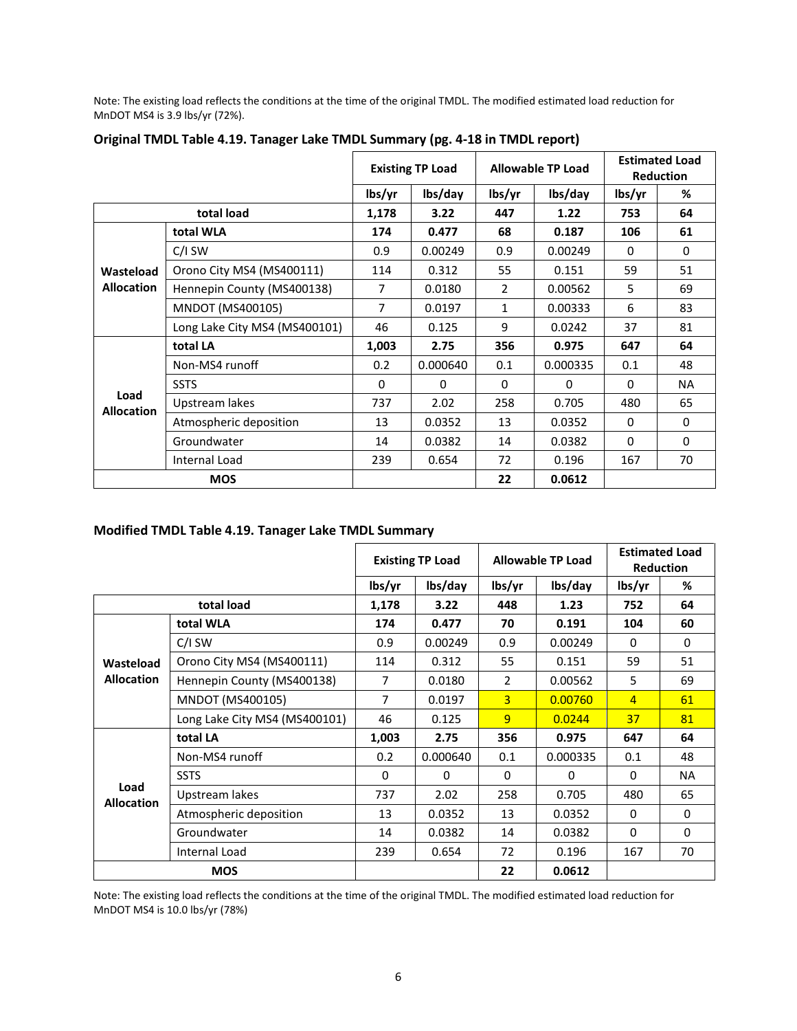Note: The existing load reflects the conditions at the time of the original TMDL. The modified estimated load reduction for MnDOT MS4 is 3.9 lbs/yr (72%).

|                           |                               | <b>Existing TP Load</b> |          | <b>Allowable TP Load</b> |                                                            | <b>Estimated Load</b><br><b>Reduction</b>            |           |
|---------------------------|-------------------------------|-------------------------|----------|--------------------------|------------------------------------------------------------|------------------------------------------------------|-----------|
|                           |                               | lbs/yr                  | lbs/day  | lbs/yr                   | lbs/day                                                    | lbs/yr                                               | %         |
|                           | total load                    | 1,178                   | 3.22     | 447                      | 1.22                                                       | 753                                                  | 64        |
|                           | total WLA                     | 174                     | 0.477    | 68                       | 0.187                                                      | 106                                                  | 61        |
|                           | C/I SW                        | 0.9                     | 0.00249  | 0.9                      | 0.00249                                                    | 0                                                    | $\Omega$  |
| Wasteload                 | Orono City MS4 (MS400111)     | 114                     | 0.312    | 55                       | 0.151                                                      | 59                                                   | 51        |
| <b>Allocation</b>         | Hennepin County (MS400138)    | 7                       | 0.0180   | $\overline{2}$           | 0.00562                                                    | 5                                                    | 69        |
|                           | MNDOT (MS400105)              | $\overline{7}$          | 0.0197   | 1                        | 0.00333                                                    | 6                                                    | 83        |
|                           | Long Lake City MS4 (MS400101) | 46                      | 0.125    | 9                        | 0.0242                                                     | 37<br>647<br>0.1<br>0<br>480<br>0<br>$\Omega$<br>167 | 81        |
|                           | total LA                      | 1,003                   | 2.75     | 356                      | 0.975                                                      |                                                      | 64        |
|                           | Non-MS4 runoff                | 0.2                     | 0.000640 | 0.1                      | 0.000335<br>$\Omega$<br>0.705<br>0.0352<br>0.0382<br>0.196 | 48                                                   |           |
|                           | <b>SSTS</b>                   | 0                       | $\Omega$ | $\Omega$                 |                                                            |                                                      | <b>NA</b> |
| Load<br><b>Allocation</b> | Upstream lakes                | 737                     | 2.02     | 258                      |                                                            |                                                      | 65        |
|                           | Atmospheric deposition        | 13                      | 0.0352   | 13                       |                                                            |                                                      | $\Omega$  |
|                           | Groundwater                   | 14                      | 0.0382   | 14                       |                                                            |                                                      | $\Omega$  |
|                           | Internal Load                 | 239                     | 0.654    | 72                       |                                                            |                                                      | 70        |
|                           | <b>MOS</b>                    |                         |          | 22                       | 0.0612                                                     |                                                      |           |

#### **Original TMDL Table 4.19. Tanager Lake TMDL Summary (pg. 4-18 in TMDL report)**

#### **Modified TMDL Table 4.19. Tanager Lake TMDL Summary**

|                           |                               | <b>Existing TP Load</b> |              |                | <b>Allowable TP Load</b> | <b>Estimated Load</b><br><b>Reduction</b>                                      |           |
|---------------------------|-------------------------------|-------------------------|--------------|----------------|--------------------------|--------------------------------------------------------------------------------|-----------|
|                           |                               | lbs/yr                  | lbs/day      | lbs/yr         | lbs/day                  | lbs/yr                                                                         | %         |
|                           | total load                    | 1,178                   | 3.22         | 448            | 1.23                     | 752                                                                            | 64        |
|                           | total WLA                     | 174                     | 0.477        | 70             | 0.191                    | 104                                                                            | 60        |
|                           | $C/I$ SW                      | 0.9                     | 0.00249      | 0.9            | 0.00249                  | $\Omega$                                                                       | $\Omega$  |
| Wasteload                 | Orono City MS4 (MS400111)     | 114                     | 0.312        | 55             | 0.151                    | 59                                                                             | 51        |
| <b>Allocation</b>         | Hennepin County (MS400138)    | 7                       | 0.0180       | $\overline{2}$ | 0.00562                  | 5                                                                              | 69        |
|                           | <b>MNDOT (MS400105)</b>       | 7                       | 0.0197       | $\overline{3}$ | 0.00760                  | $\overline{4}$                                                                 | 61        |
|                           | Long Lake City MS4 (MS400101) | 46                      | 0.125        | 9              | 0.0244                   | 37<br>647<br>0.1<br>$\mathbf{0}$<br>480<br>$\mathbf{0}$<br>$\mathbf{0}$<br>167 | 81        |
|                           | total LA                      | 1,003                   | 2.75         | 356            | 0.975                    |                                                                                | 64        |
|                           | Non-MS4 runoff                | 0.2                     | 0.000640     | 0.1            | 0.000335                 |                                                                                | 48        |
|                           | <b>SSTS</b>                   | $\Omega$                | $\mathbf{0}$ | $\Omega$       | $\Omega$                 |                                                                                | <b>NA</b> |
| Load<br><b>Allocation</b> | Upstream lakes                | 737                     | 2.02         | 258            | 0.705                    |                                                                                | 65        |
|                           | Atmospheric deposition        | 13                      | 0.0352       | 13             | 0.0352                   |                                                                                | $\Omega$  |
|                           | Groundwater                   | 14                      | 0.0382       | 14             | 0.0382                   |                                                                                | $\Omega$  |
|                           | Internal Load                 | 239                     | 0.654        | 72             | 0.196                    |                                                                                | 70        |
|                           | <b>MOS</b>                    |                         |              | 22             | 0.0612                   |                                                                                |           |

Note: The existing load reflects the conditions at the time of the original TMDL. The modified estimated load reduction for MnDOT MS4 is 10.0 lbs/yr (78%)